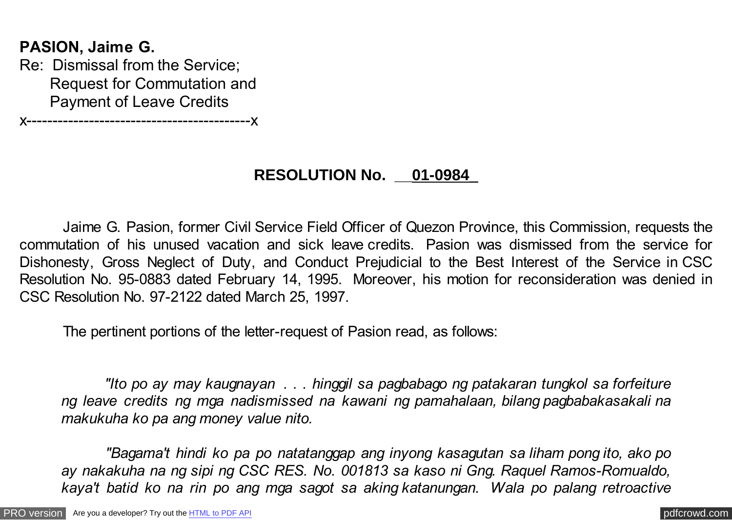# **PASION, Jaime G.**

Re: Dismissal from the Service; Request for Commutation and Payment of Leave Credits

x-------------------------------------------x

# **RESOLUTION No. \_\_01-0984\_**

 Jaime G. Pasion, former Civil Service Field Officer of Quezon Province, this Commission, requests the commutation of his unused vacation and sick leave credits. Pasion was dismissed from the service for Dishonesty, Gross Neglect of Duty, and Conduct Prejudicial to the Best Interest of the Service in CSC Resolution No. 95-0883 dated February 14, 1995. Moreover, his motion for reconsideration was denied in CSC Resolution No. 97-2122 dated March 25, 1997.

The pertinent portions of the letter-request of Pasion read, as follows:

 *"Ito po ay may kaugnayan . . . hinggil sa pagbabago ng patakaran tungkol sa forfeiture ng leave credits ng mga nadismissed na kawani ng pamahalaan, bilang pagbabakasakali na makukuha ko pa ang money value nito.*

 *"Bagama't hindi ko pa po natatanggap ang inyong kasagutan sa liham pong ito, ako po ay nakakuha na ng sipi ng CSC RES. No. 001813 sa kaso ni Gng. Raquel Ramos-Romualdo, kaya't batid ko na rin po ang mga sagot sa aking katanungan. Wala po palang retroactive*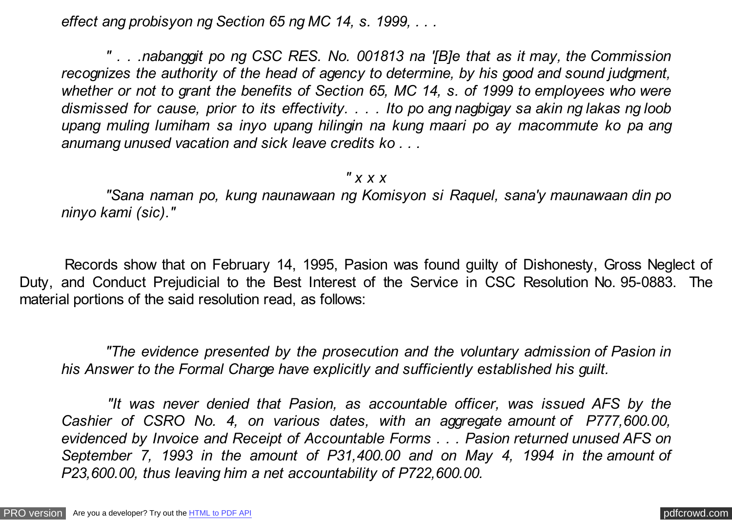*effect ang probisyon ng Section 65 ng MC 14, s. 1999, . . .*

 *" . . .nabanggit po ng CSC RES. No. 001813 na '[B]e that as it may, the Commission recognizes the authority of the head of agency to determine, by his good and sound judgment, whether or not to grant the benefits of Section 65, MC 14, s. of 1999 to employees who were dismissed for cause, prior to its effectivity. . . . Ito po ang nagbigay sa akin ng lakas ng loob upang muling lumiham sa inyo upang hilingin na kung maari po ay macommute ko pa ang anumang unused vacation and sick leave credits ko . . .*

#### *" x x x*

 *"Sana naman po, kung naunawaan ng Komisyon si Raquel, sana'y maunawaan din po ninyo kami (sic)."*

 Records show that on February 14, 1995, Pasion was found guilty of Dishonesty, Gross Neglect of Duty, and Conduct Prejudicial to the Best Interest of the Service in CSC Resolution No. 95-0883. The material portions of the said resolution read, as follows:

 *"The evidence presented by the prosecution and the voluntary admission of Pasion in his Answer to the Formal Charge have explicitly and sufficiently established his guilt.*

 *"It was never denied that Pasion, as accountable officer, was issued AFS by the Cashier of CSRO No. 4, on various dates, with an aggregate amount of P777,600.00, evidenced by Invoice and Receipt of Accountable Forms . . . Pasion returned unused AFS on September 7, 1993 in the amount of P31,400.00 and on May 4, 1994 in the amount of P23,600.00, thus leaving him a net accountability of P722,600.00.*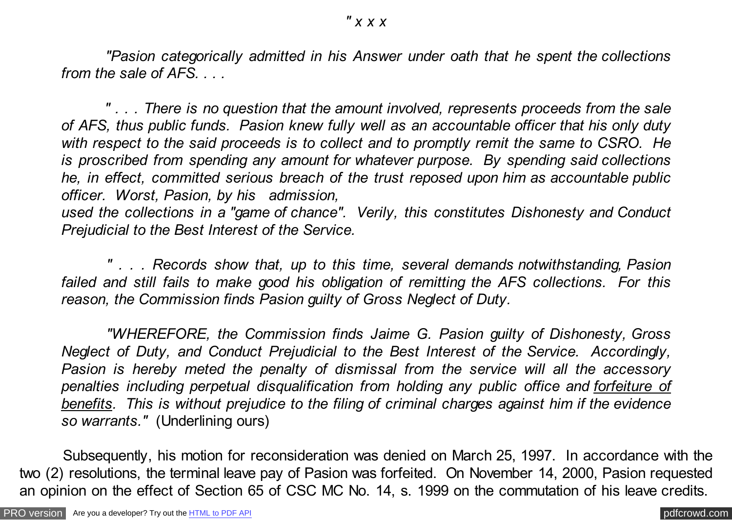*"Pasion categorically admitted in his Answer under oath that he spent the collections from the sale of AFS. . . .*

 *" . . . There is no question that the amount involved, represents proceeds from the sale of AFS, thus public funds. Pasion knew fully well as an accountable officer that his only duty with respect to the said proceeds is to collect and to promptly remit the same to CSRO. He is proscribed from spending any amount for whatever purpose. By spending said collections he, in effect, committed serious breach of the trust reposed upon him as accountable public officer. Worst, Pasion, by his admission,*

*used the collections in a "game of chance". Verily, this constitutes Dishonesty and Conduct Prejudicial to the Best Interest of the Service.*

 *" . . . Records show that, up to this time, several demands notwithstanding, Pasion failed and still fails to make good his obligation of remitting the AFS collections. For this reason, the Commission finds Pasion guilty of Gross Neglect of Duty.*

 *"WHEREFORE, the Commission finds Jaime G. Pasion guilty of Dishonesty, Gross Neglect of Duty, and Conduct Prejudicial to the Best Interest of the Service. Accordingly, Pasion is hereby meted the penalty of dismissal from the service will all the accessory penalties including perpetual disqualification from holding any public office and forfeiture of benefits. This is without prejudice to the filing of criminal charges against him if the evidence so warrants."* (Underlining ours)

 Subsequently, his motion for reconsideration was denied on March 25, 1997. In accordance with the two (2) resolutions, the terminal leave pay of Pasion was forfeited. On November 14, 2000, Pasion requested an opinion on the effect of Section 65 of CSC MC No. 14, s. 1999 on the commutation of his leave credits.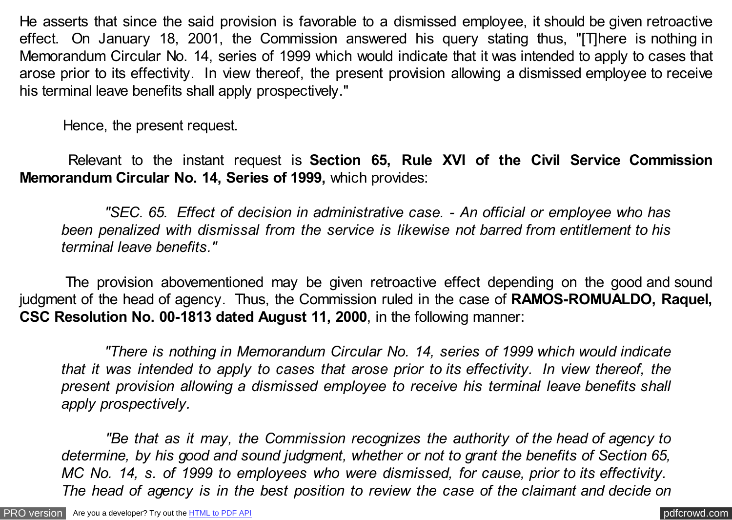He asserts that since the said provision is favorable to a dismissed employee, it should be given retroactive effect. On January 18, 2001, the Commission answered his query stating thus, "[T]here is nothing in Memorandum Circular No. 14, series of 1999 which would indicate that it was intended to apply to cases that arose prior to its effectivity. In view thereof, the present provision allowing a dismissed employee to receive his terminal leave benefits shall apply prospectively."

Hence, the present request.

 Relevant to the instant request is **Section 65, Rule XVI of the Civil Service Commission Memorandum Circular No. 14, Series of 1999,** which provides:

 *"SEC. 65. Effect of decision in administrative case. - An official or employee who has been penalized with dismissal from the service is likewise not barred from entitlement to his terminal leave benefits."*

 The provision abovementioned may be given retroactive effect depending on the good and sound judgment of the head of agency. Thus, the Commission ruled in the case of **RAMOS-ROMUALDO, Raquel, CSC Resolution No. 00-1813 dated August 11, 2000**, in the following manner:

 *"There is nothing in Memorandum Circular No. 14, series of 1999 which would indicate that it was intended to apply to cases that arose prior to its effectivity. In view thereof, the present provision allowing a dismissed employee to receive his terminal leave benefits shall apply prospectively.*

 *"Be that as it may, the Commission recognizes the authority of the head of agency to determine, by his good and sound judgment, whether or not to grant the benefits of Section 65, MC No. 14, s. of 1999 to employees who were dismissed, for cause, prior to its effectivity. The head of agency is in the best position to review the case of the claimant and decide on*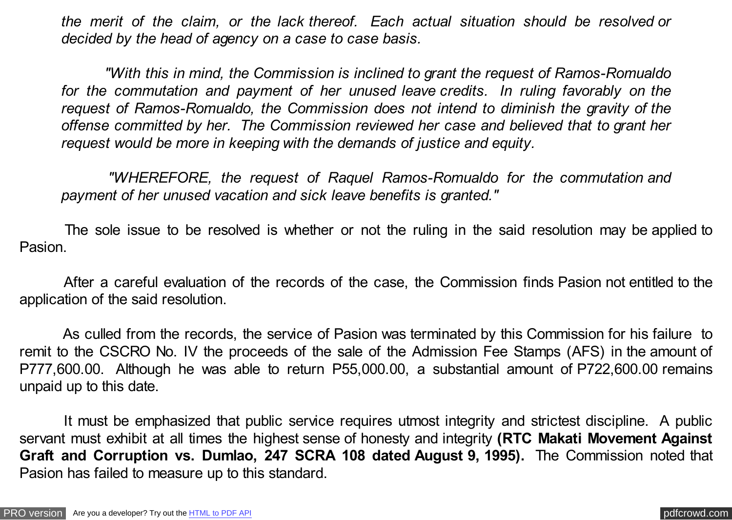*the merit of the claim, or the lack thereof. Each actual situation should be resolved or decided by the head of agency on a case to case basis.*

 *"With this in mind, the Commission is inclined to grant the request of Ramos-Romualdo for the commutation and payment of her unused leave credits. In ruling favorably on the request of Ramos-Romualdo, the Commission does not intend to diminish the gravity of the offense committed by her. The Commission reviewed her case and believed that to grant her request would be more in keeping with the demands of justice and equity.*

 *"WHEREFORE, the request of Raquel Ramos-Romualdo for the commutation and payment of her unused vacation and sick leave benefits is granted."*

 The sole issue to be resolved is whether or not the ruling in the said resolution may be applied to Pasion.

 After a careful evaluation of the records of the case, the Commission finds Pasion not entitled to the application of the said resolution.

 As culled from the records, the service of Pasion was terminated by this Commission for his failure to remit to the CSCRO No. IV the proceeds of the sale of the Admission Fee Stamps (AFS) in the amount of P777,600.00. Although he was able to return P55,000.00, a substantial amount of P722,600.00 remains unpaid up to this date.

 It must be emphasized that public service requires utmost integrity and strictest discipline. A public servant must exhibit at all times the highest sense of honesty and integrity **(RTC Makati Movement Against Graft and Corruption vs. Dumlao, 247 SCRA 108 dated August 9, 1995).** The Commission noted that Pasion has failed to measure up to this standard.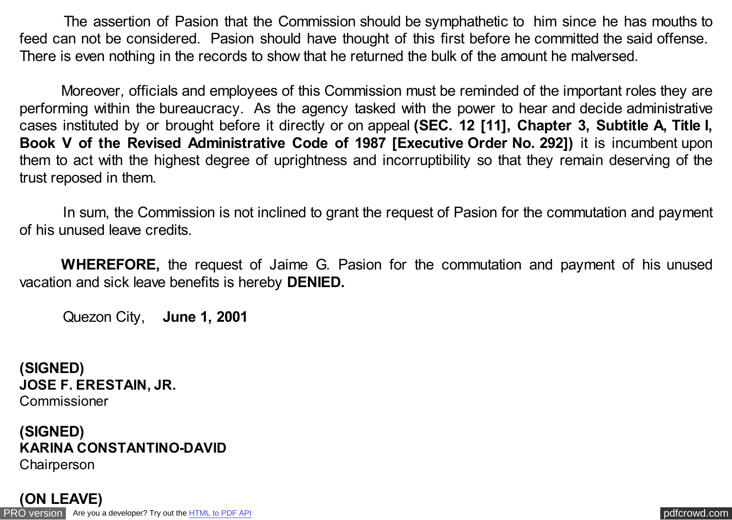The assertion of Pasion that the Commission should be symphathetic to him since he has mouths to feed can not be considered. Pasion should have thought of this first before he committed the said offense. There is even nothing in the records to show that he returned the bulk of the amount he malversed.

Moreover, officials and employees of this Commission must be reminded of the important roles they are performing within the bureaucracy. As the agency tasked with the power to hear and decide administrative cases instituted by or brought before it directly or on appeal **(SEC. 12 [11], Chapter 3, Subtitle A, Title I, Book V of the Revised Administrative Code of 1987 [Executive Order No. 292])** it is incumbent upon them to act with the highest degree of uprightness and incorruptibility so that they remain deserving of the trust reposed in them.

 In sum, the Commission is not inclined to grant the request of Pasion for the commutation and payment of his unused leave credits.

**WHEREFORE,** the request of Jaime G. Pasion for the commutation and payment of his unused vacation and sick leave benefits is hereby **DENIED.**

Quezon City, **June 1, 2001**

**(SIGNED) JOSE F. ERESTAIN, JR.** Commissioner

### **(SIGNED) KARINA CONSTANTINO-DAVID Chairperson**

[PRO version](http://pdfcrowd.com/customize/) Are you a developer? Try out th[e HTML to PDF API](http://pdfcrowd.com/html-to-pdf-api/?ref=pdf) contract the contract of the HTML to PDF API [pdfcrowd.com](http://pdfcrowd.com) **(ON LEAVE)**